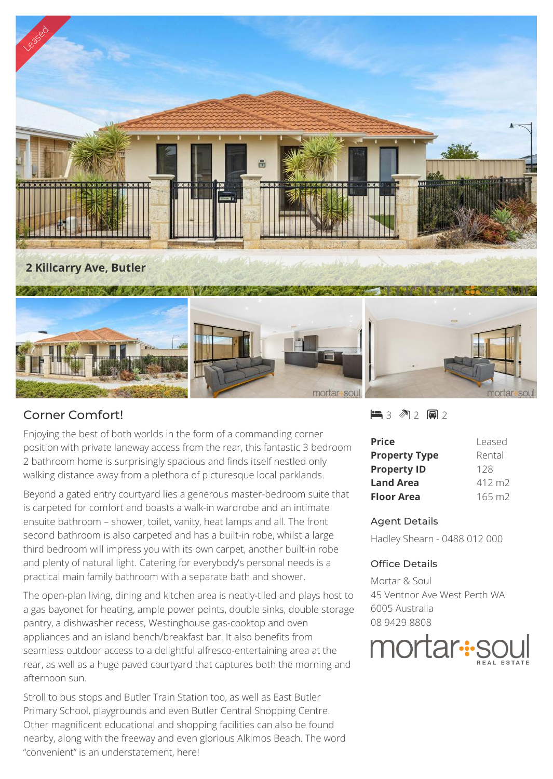

## Corner Comfort!

Enjoying the best of both worlds in the form of a commanding corner position with private laneway access from the rear, this fantastic 3 bedroom 2 bathroom home is surprisingly spacious and finds itself nestled only walking distance away from a plethora of picturesque local parklands.

Beyond a gated entry courtyard lies a generous master-bedroom suite that is carpeted for comfort and boasts a walk-in wardrobe and an intimate ensuite bathroom – shower, toilet, vanity, heat lamps and all. The front second bathroom is also carpeted and has a built-in robe, whilst a large third bedroom will impress you with its own carpet, another built-in robe and plenty of natural light. Catering for everybody's personal needs is a practical main family bathroom with a separate bath and shower.

The open-plan living, dining and kitchen area is neatly-tiled and plays host to a gas bayonet for heating, ample power points, double sinks, double storage pantry, a dishwasher recess, Westinghouse gas-cooktop and oven appliances and an island bench/breakfast bar. It also benefits from seamless outdoor access to a delightful alfresco-entertaining area at the rear, as well as a huge paved courtyard that captures both the morning and afternoon sun.

Stroll to bus stops and Butler Train Station too, as well as East Butler Primary School, playgrounds and even Butler Central Shopping Centre. Other magnificent educational and shopping facilities can also be found nearby, along with the freeway and even glorious Alkimos Beach. The word "convenient" is an understatement, here!

 $-3$   $2$   $-2$ 

| <b>Price</b>         | Leased          |
|----------------------|-----------------|
| <b>Property Type</b> | Rental          |
| <b>Property ID</b>   | 128             |
| <b>Land Area</b>     | $412 \text{ m}$ |
| <b>Floor Area</b>    | $165 \text{ m}$ |

## Agent Details

Hadley Shearn - 0488 012 000

## Office Details

Mortar & Soul 45 Ventnor Ave West Perth WA 6005 Australia 08 9429 8808